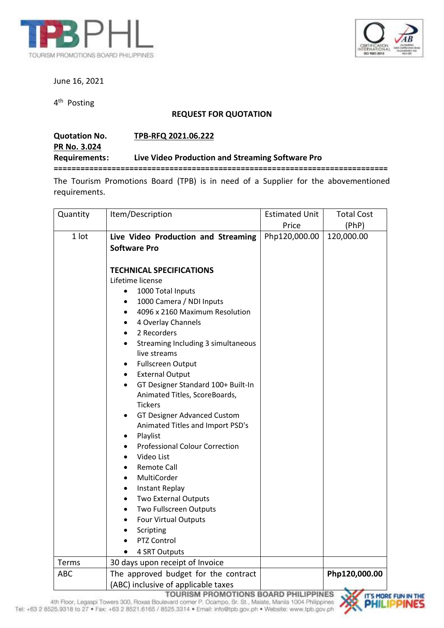



June 16, 2021

4<sup>th</sup> Posting

## **REQUEST FOR QUOTATION**

| <b>Quotation No.</b> | TPB-RFQ 2021.06.222                              |
|----------------------|--------------------------------------------------|
| <b>PR No. 3.024</b>  |                                                  |
| <b>Requirements:</b> | Live Video Production and Streaming Software Pro |
|                      |                                                  |

The Tourism Promotions Board (TPB) is in need of a Supplier for the abovementioned requirements.

| Quantity | Item/Description                                                                                                                                                                                                                                                                                                                                                                                                                                                                                                                                                                                                                                                                                                                             | <b>Estimated Unit</b> | <b>Total Cost</b> |
|----------|----------------------------------------------------------------------------------------------------------------------------------------------------------------------------------------------------------------------------------------------------------------------------------------------------------------------------------------------------------------------------------------------------------------------------------------------------------------------------------------------------------------------------------------------------------------------------------------------------------------------------------------------------------------------------------------------------------------------------------------------|-----------------------|-------------------|
|          |                                                                                                                                                                                                                                                                                                                                                                                                                                                                                                                                                                                                                                                                                                                                              | Price                 | (PhP)             |
| 1 lot    | Live Video Production and Streaming<br><b>Software Pro</b>                                                                                                                                                                                                                                                                                                                                                                                                                                                                                                                                                                                                                                                                                   | Php120,000.00         | 120,000.00        |
|          | <b>TECHNICAL SPECIFICATIONS</b><br>Lifetime license<br>1000 Total Inputs<br>$\bullet$<br>1000 Camera / NDI Inputs<br>4096 x 2160 Maximum Resolution<br>4 Overlay Channels<br>2 Recorders<br>Streaming Including 3 simultaneous<br>live streams<br><b>Fullscreen Output</b><br><b>External Output</b><br>$\bullet$<br>GT Designer Standard 100+ Built-In<br>Animated Titles, ScoreBoards,<br><b>Tickers</b><br><b>GT Designer Advanced Custom</b><br>Animated Titles and Import PSD's<br>Playlist<br><b>Professional Colour Correction</b><br>Video List<br>Remote Call<br>MultiCorder<br><b>Instant Replay</b><br>Two External Outputs<br>Two Fullscreen Outputs<br><b>Four Virtual Outputs</b><br>Scripting<br>PTZ Control<br>4 SRT Outputs |                       |                   |
| Terms    | 30 days upon receipt of Invoice                                                                                                                                                                                                                                                                                                                                                                                                                                                                                                                                                                                                                                                                                                              |                       |                   |
| ABC      | The approved budget for the contract<br>(ABC) inclusive of applicable taxes                                                                                                                                                                                                                                                                                                                                                                                                                                                                                                                                                                                                                                                                  | <b>IDDIMEC</b>        | Php120,000.00     |